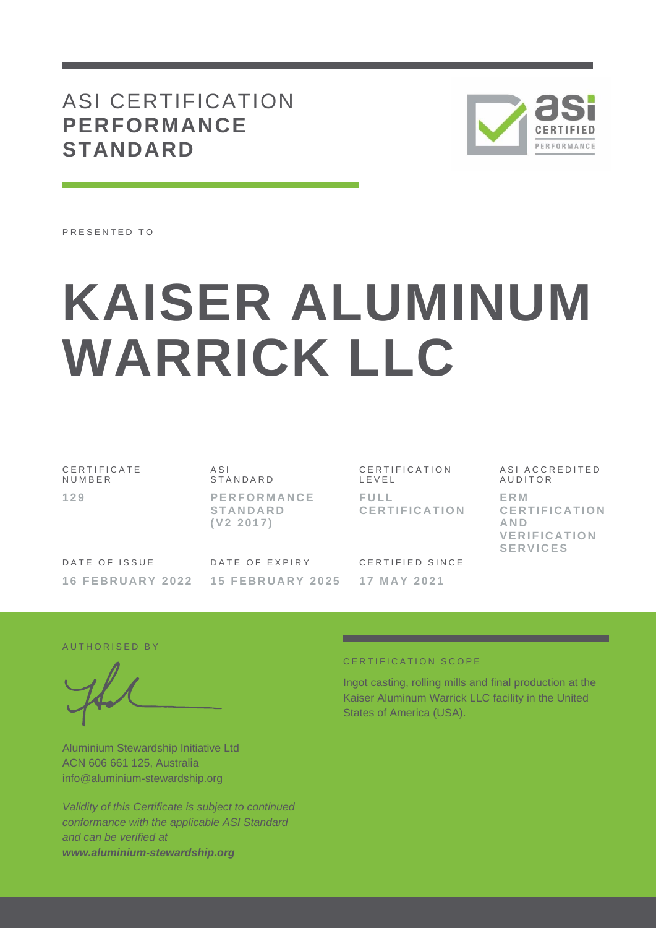## ASI CERTIFICATION **PERFORMANCE STANDARD**



PRESENTED TO

# **KAISER ALUMINUM WARRICK LLC**

C E R T I F I C A T E N U M B E R **1 2 9**

 $A S I$ S T A N D A R D **P E R F O R M A N C E S T A N D A R D ( V 2 2 0 1 7 )**

C E R T I F I C A T I O N L E V E L **F U L L C E R T I F I C A T I O N**

DATE OF ISSUE **16 F E B R U A R Y 202 2** DATE OF EXPIRY **15 F E B R U A R Y 2 0 2 5**

CERTIFIED SINCE **1 7 M A Y 2 0 2 1**

ASI ACCREDITED **AUDITOR E R M C E R T I F I C A T I O N AND V E R I F I C A T I O N S E R V I C E S**

AUTHORISED BY

Aluminium Stewardship Initiative Ltd ACN 606 661 125, Australia info@aluminium-stewardship.org

*Validity of this Certificate is subject to continued conformance with the applicable ASI Standard and can be verified at www.aluminium-stewardship.org*

#### CERTIFICATION SCOPE

Ingot casting, rolling mills and final production at the Kaiser Aluminum Warrick LLC facility in the United States of America (USA).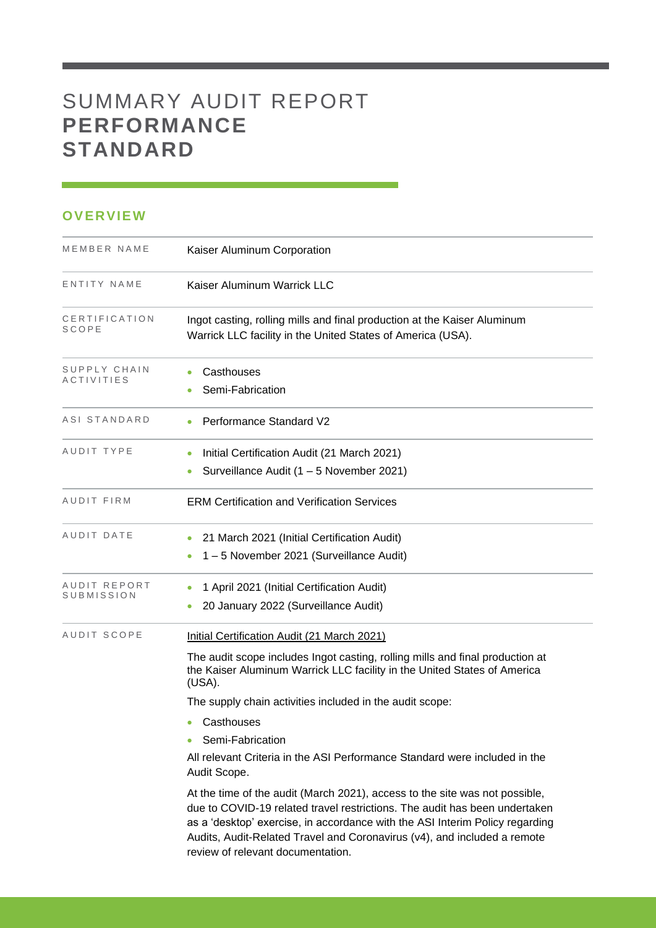# SUMMARY AUDIT REPORT **PERFORMANCE STANDARD**

### **OVERVIEW**

| MEMBER NAME                       | Kaiser Aluminum Corporation                                                                                                                                                                                                                                                                                                                                                |
|-----------------------------------|----------------------------------------------------------------------------------------------------------------------------------------------------------------------------------------------------------------------------------------------------------------------------------------------------------------------------------------------------------------------------|
| ENTITY NAME                       | Kaiser Aluminum Warrick LLC                                                                                                                                                                                                                                                                                                                                                |
| CERTIFICATION<br>SCOPE            | Ingot casting, rolling mills and final production at the Kaiser Aluminum<br>Warrick LLC facility in the United States of America (USA).                                                                                                                                                                                                                                    |
| SUPPLY CHAIN<br><b>ACTIVITIES</b> | Casthouses<br>Semi-Fabrication                                                                                                                                                                                                                                                                                                                                             |
| ASI STANDARD                      | <b>Performance Standard V2</b>                                                                                                                                                                                                                                                                                                                                             |
| AUDIT TYPE                        | Initial Certification Audit (21 March 2021)<br>Surveillance Audit (1 - 5 November 2021)                                                                                                                                                                                                                                                                                    |
| AUDIT FIRM                        | <b>ERM Certification and Verification Services</b>                                                                                                                                                                                                                                                                                                                         |
| AUDIT DATE                        | 21 March 2021 (Initial Certification Audit)<br>1-5 November 2021 (Surveillance Audit)                                                                                                                                                                                                                                                                                      |
| AUDIT REPORT<br>SUBMISSION        | 1 April 2021 (Initial Certification Audit)<br>20 January 2022 (Surveillance Audit)                                                                                                                                                                                                                                                                                         |
| AUDIT SCOPE                       | Initial Certification Audit (21 March 2021)<br>The audit scope includes Ingot casting, rolling mills and final production at<br>the Kaiser Aluminum Warrick LLC facility in the United States of America<br>(USA).                                                                                                                                                         |
|                                   | The supply chain activities included in the audit scope:<br>Casthouses<br>۰<br>Semi-Fabrication<br>All relevant Criteria in the ASI Performance Standard were included in the                                                                                                                                                                                              |
|                                   | Audit Scope.<br>At the time of the audit (March 2021), access to the site was not possible,<br>due to COVID-19 related travel restrictions. The audit has been undertaken<br>as a 'desktop' exercise, in accordance with the ASI Interim Policy regarding<br>Audits, Audit-Related Travel and Coronavirus (v4), and included a remote<br>review of relevant documentation. |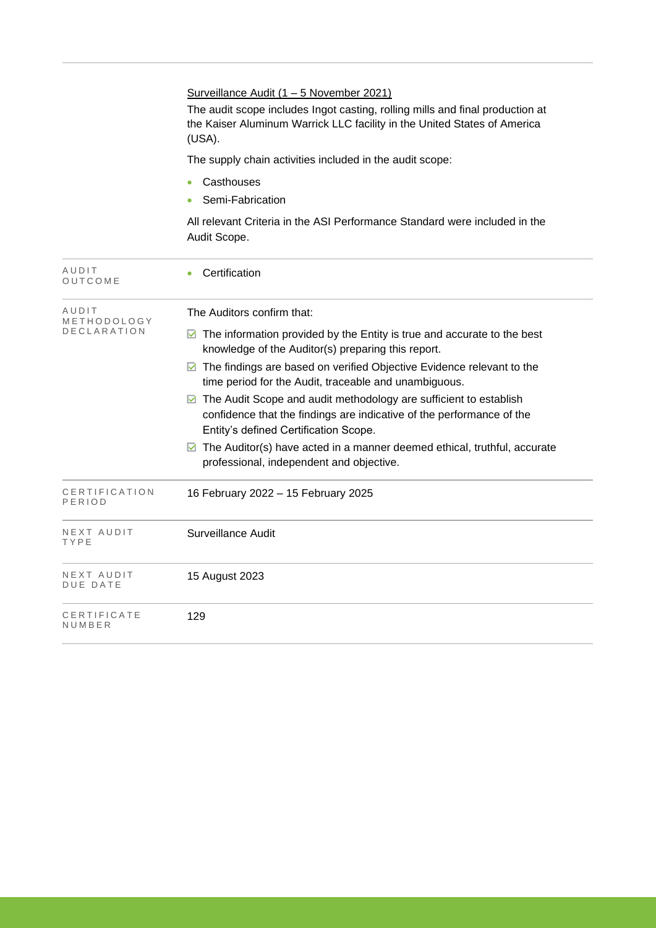|                                     | Surveillance Audit (1 - 5 November 2021)<br>The audit scope includes Ingot casting, rolling mills and final production at<br>the Kaiser Aluminum Warrick LLC facility in the United States of America<br>(USA).<br>The supply chain activities included in the audit scope:<br>Casthouses<br>Semi-Fabrication<br>All relevant Criteria in the ASI Performance Standard were included in the<br>Audit Scope.                                                                                                                                                                                                                                                   |
|-------------------------------------|---------------------------------------------------------------------------------------------------------------------------------------------------------------------------------------------------------------------------------------------------------------------------------------------------------------------------------------------------------------------------------------------------------------------------------------------------------------------------------------------------------------------------------------------------------------------------------------------------------------------------------------------------------------|
| AUDIT<br>OUTCOME                    | Certification                                                                                                                                                                                                                                                                                                                                                                                                                                                                                                                                                                                                                                                 |
| AUDIT<br>METHODOLOGY<br>DECLARATION | The Auditors confirm that:<br>$\triangleright$ The information provided by the Entity is true and accurate to the best<br>knowledge of the Auditor(s) preparing this report.<br>$\blacksquare$ The findings are based on verified Objective Evidence relevant to the<br>time period for the Audit, traceable and unambiguous.<br>◘ The Audit Scope and audit methodology are sufficient to establish<br>confidence that the findings are indicative of the performance of the<br>Entity's defined Certification Scope.<br>$\blacksquare$ The Auditor(s) have acted in a manner deemed ethical, truthful, accurate<br>professional, independent and objective. |
| CERTIFICATION<br>PERIOD             | 16 February 2022 - 15 February 2025                                                                                                                                                                                                                                                                                                                                                                                                                                                                                                                                                                                                                           |
| NEXT AUDIT<br>TYPE                  | Surveillance Audit                                                                                                                                                                                                                                                                                                                                                                                                                                                                                                                                                                                                                                            |
| NEXT AUDIT<br>DUE DATE              | 15 August 2023                                                                                                                                                                                                                                                                                                                                                                                                                                                                                                                                                                                                                                                |
| CERTIFICATE<br>NUMBER               | 129                                                                                                                                                                                                                                                                                                                                                                                                                                                                                                                                                                                                                                                           |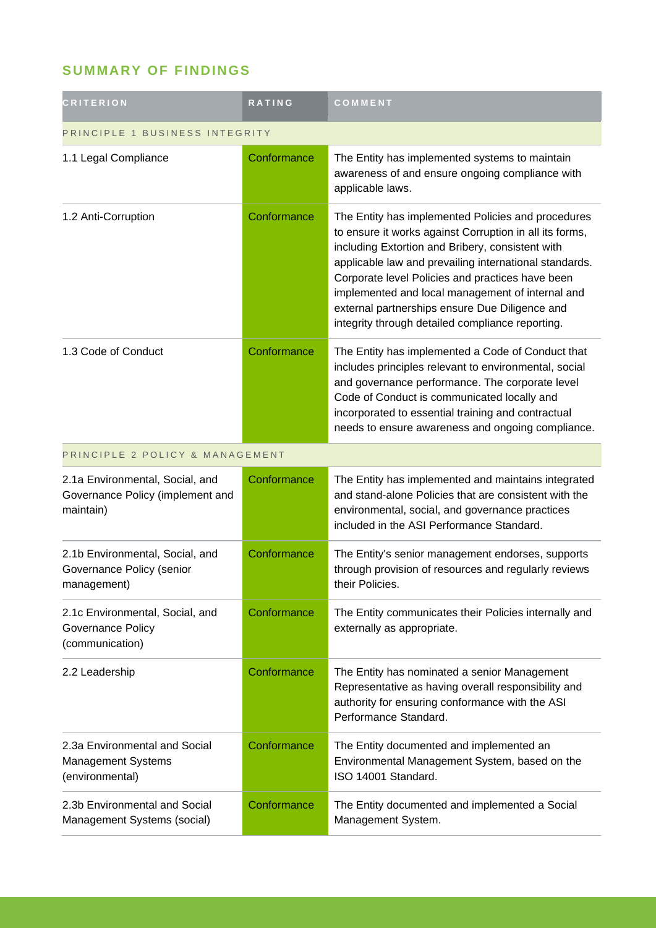## **SUMMARY OF FINDINGS**

| <b>CRITERION</b>                                                                 | <b>RATING</b> | COMMENT                                                                                                                                                                                                                                                                                                                                                                                                                                   |  |
|----------------------------------------------------------------------------------|---------------|-------------------------------------------------------------------------------------------------------------------------------------------------------------------------------------------------------------------------------------------------------------------------------------------------------------------------------------------------------------------------------------------------------------------------------------------|--|
| PRINCIPLE 1 BUSINESS INTEGRITY                                                   |               |                                                                                                                                                                                                                                                                                                                                                                                                                                           |  |
| 1.1 Legal Compliance                                                             | Conformance   | The Entity has implemented systems to maintain<br>awareness of and ensure ongoing compliance with<br>applicable laws.                                                                                                                                                                                                                                                                                                                     |  |
| 1.2 Anti-Corruption                                                              | Conformance   | The Entity has implemented Policies and procedures<br>to ensure it works against Corruption in all its forms,<br>including Extortion and Bribery, consistent with<br>applicable law and prevailing international standards.<br>Corporate level Policies and practices have been<br>implemented and local management of internal and<br>external partnerships ensure Due Diligence and<br>integrity through detailed compliance reporting. |  |
| 1.3 Code of Conduct                                                              | Conformance   | The Entity has implemented a Code of Conduct that<br>includes principles relevant to environmental, social<br>and governance performance. The corporate level<br>Code of Conduct is communicated locally and<br>incorporated to essential training and contractual<br>needs to ensure awareness and ongoing compliance.                                                                                                                   |  |
| PRINCIPLE 2 POLICY & MANAGEMENT                                                  |               |                                                                                                                                                                                                                                                                                                                                                                                                                                           |  |
| 2.1a Environmental, Social, and<br>Governance Policy (implement and<br>maintain) | Conformance   | The Entity has implemented and maintains integrated<br>and stand-alone Policies that are consistent with the<br>environmental, social, and governance practices<br>included in the ASI Performance Standard.                                                                                                                                                                                                                              |  |
| 2.1b Environmental, Social, and<br>Governance Policy (senior<br>management)      | Conformance   | The Entity's senior management endorses, supports<br>through provision of resources and regularly reviews<br>their Policies.                                                                                                                                                                                                                                                                                                              |  |
| 2.1c Environmental, Social, and<br><b>Governance Policy</b><br>(communication)   | Conformance   | The Entity communicates their Policies internally and<br>externally as appropriate.                                                                                                                                                                                                                                                                                                                                                       |  |
| 2.2 Leadership                                                                   | Conformance   | The Entity has nominated a senior Management<br>Representative as having overall responsibility and<br>authority for ensuring conformance with the ASI<br>Performance Standard.                                                                                                                                                                                                                                                           |  |
| 2.3a Environmental and Social<br>Management Systems<br>(environmental)           | Conformance   | The Entity documented and implemented an<br>Environmental Management System, based on the<br>ISO 14001 Standard.                                                                                                                                                                                                                                                                                                                          |  |
| 2.3b Environmental and Social<br>Management Systems (social)                     | Conformance   | The Entity documented and implemented a Social<br>Management System.                                                                                                                                                                                                                                                                                                                                                                      |  |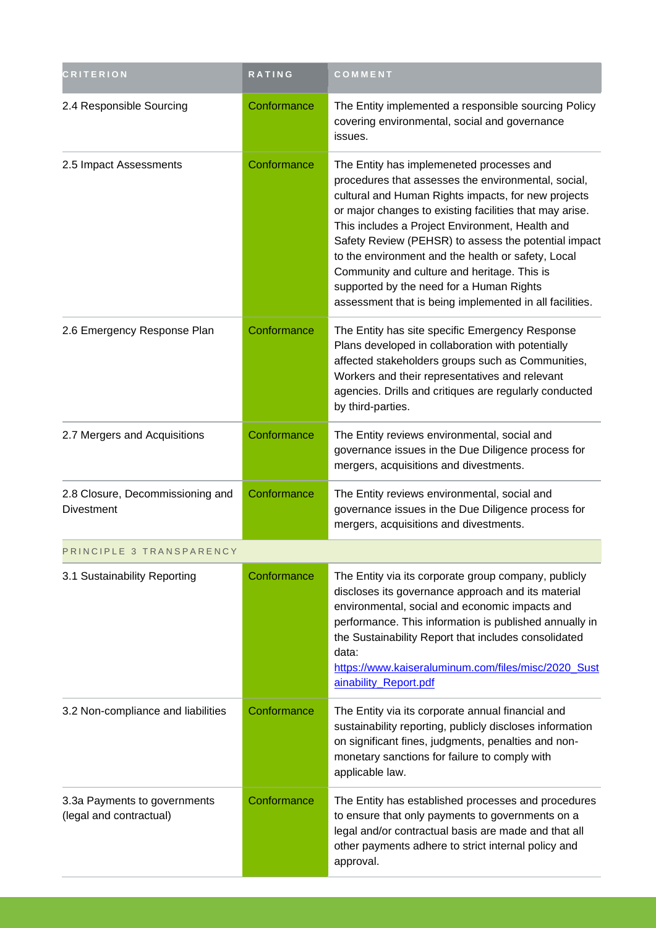| <b>CRITERION</b>                                        | RATING      | COMMENT                                                                                                                                                                                                                                                                                                                                                                                                                                                                                                                                   |
|---------------------------------------------------------|-------------|-------------------------------------------------------------------------------------------------------------------------------------------------------------------------------------------------------------------------------------------------------------------------------------------------------------------------------------------------------------------------------------------------------------------------------------------------------------------------------------------------------------------------------------------|
| 2.4 Responsible Sourcing                                | Conformance | The Entity implemented a responsible sourcing Policy<br>covering environmental, social and governance<br>issues.                                                                                                                                                                                                                                                                                                                                                                                                                          |
| 2.5 Impact Assessments                                  | Conformance | The Entity has implemeneted processes and<br>procedures that assesses the environmental, social,<br>cultural and Human Rights impacts, for new projects<br>or major changes to existing facilities that may arise.<br>This includes a Project Environment, Health and<br>Safety Review (PEHSR) to assess the potential impact<br>to the environment and the health or safety, Local<br>Community and culture and heritage. This is<br>supported by the need for a Human Rights<br>assessment that is being implemented in all facilities. |
| 2.6 Emergency Response Plan                             | Conformance | The Entity has site specific Emergency Response<br>Plans developed in collaboration with potentially<br>affected stakeholders groups such as Communities,<br>Workers and their representatives and relevant<br>agencies. Drills and critiques are regularly conducted<br>by third-parties.                                                                                                                                                                                                                                                |
| 2.7 Mergers and Acquisitions                            | Conformance | The Entity reviews environmental, social and<br>governance issues in the Due Diligence process for<br>mergers, acquisitions and divestments.                                                                                                                                                                                                                                                                                                                                                                                              |
| 2.8 Closure, Decommissioning and<br><b>Divestment</b>   | Conformance | The Entity reviews environmental, social and<br>governance issues in the Due Diligence process for<br>mergers, acquisitions and divestments.                                                                                                                                                                                                                                                                                                                                                                                              |
| PRINCIPLE 3 TRANSPARENCY                                |             |                                                                                                                                                                                                                                                                                                                                                                                                                                                                                                                                           |
| 3.1 Sustainability Reporting                            | Conformance | The Entity via its corporate group company, publicly<br>discloses its governance approach and its material<br>environmental, social and economic impacts and<br>performance. This information is published annually in<br>the Sustainability Report that includes consolidated<br>data:<br>https://www.kaiseraluminum.com/files/misc/2020_Sust<br>ainability_Report.pdf                                                                                                                                                                   |
| 3.2 Non-compliance and liabilities                      | Conformance | The Entity via its corporate annual financial and<br>sustainability reporting, publicly discloses information<br>on significant fines, judgments, penalties and non-<br>monetary sanctions for failure to comply with<br>applicable law.                                                                                                                                                                                                                                                                                                  |
| 3.3a Payments to governments<br>(legal and contractual) | Conformance | The Entity has established processes and procedures<br>to ensure that only payments to governments on a<br>legal and/or contractual basis are made and that all<br>other payments adhere to strict internal policy and<br>approval.                                                                                                                                                                                                                                                                                                       |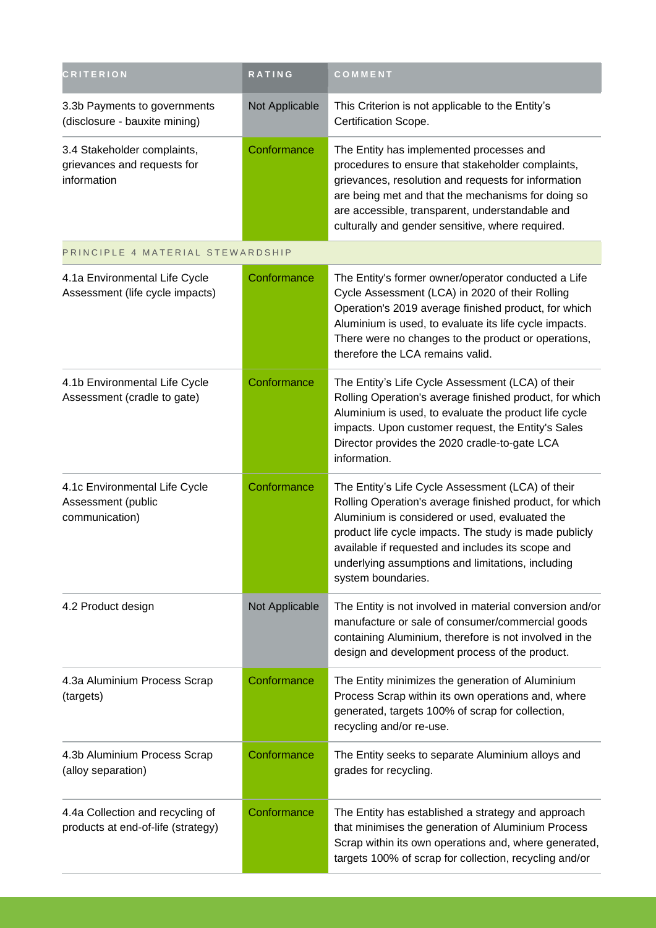| <b>CRITERION</b>                                                          | RATING         | COMMENT                                                                                                                                                                                                                                                                                                                                                  |
|---------------------------------------------------------------------------|----------------|----------------------------------------------------------------------------------------------------------------------------------------------------------------------------------------------------------------------------------------------------------------------------------------------------------------------------------------------------------|
| 3.3b Payments to governments<br>(disclosure - bauxite mining)             | Not Applicable | This Criterion is not applicable to the Entity's<br>Certification Scope.                                                                                                                                                                                                                                                                                 |
| 3.4 Stakeholder complaints,<br>grievances and requests for<br>information | Conformance    | The Entity has implemented processes and<br>procedures to ensure that stakeholder complaints,<br>grievances, resolution and requests for information<br>are being met and that the mechanisms for doing so<br>are accessible, transparent, understandable and<br>culturally and gender sensitive, where required.                                        |
| PRINCIPLE 4 MATERIAL STEWARDSHIP                                          |                |                                                                                                                                                                                                                                                                                                                                                          |
| 4.1a Environmental Life Cycle<br>Assessment (life cycle impacts)          | Conformance    | The Entity's former owner/operator conducted a Life<br>Cycle Assessment (LCA) in 2020 of their Rolling<br>Operation's 2019 average finished product, for which<br>Aluminium is used, to evaluate its life cycle impacts.<br>There were no changes to the product or operations,<br>therefore the LCA remains valid.                                      |
| 4.1b Environmental Life Cycle<br>Assessment (cradle to gate)              | Conformance    | The Entity's Life Cycle Assessment (LCA) of their<br>Rolling Operation's average finished product, for which<br>Aluminium is used, to evaluate the product life cycle<br>impacts. Upon customer request, the Entity's Sales<br>Director provides the 2020 cradle-to-gate LCA<br>information.                                                             |
| 4.1c Environmental Life Cycle<br>Assessment (public<br>communication)     | Conformance    | The Entity's Life Cycle Assessment (LCA) of their<br>Rolling Operation's average finished product, for which<br>Aluminium is considered or used, evaluated the<br>product life cycle impacts. The study is made publicly<br>available if requested and includes its scope and<br>underlying assumptions and limitations, including<br>system boundaries. |
| 4.2 Product design                                                        | Not Applicable | The Entity is not involved in material conversion and/or<br>manufacture or sale of consumer/commercial goods<br>containing Aluminium, therefore is not involved in the<br>design and development process of the product.                                                                                                                                 |
| 4.3a Aluminium Process Scrap<br>(targets)                                 | Conformance    | The Entity minimizes the generation of Aluminium<br>Process Scrap within its own operations and, where<br>generated, targets 100% of scrap for collection,<br>recycling and/or re-use.                                                                                                                                                                   |
| 4.3b Aluminium Process Scrap<br>(alloy separation)                        | Conformance    | The Entity seeks to separate Aluminium alloys and<br>grades for recycling.                                                                                                                                                                                                                                                                               |
| 4.4a Collection and recycling of<br>products at end-of-life (strategy)    | Conformance    | The Entity has established a strategy and approach<br>that minimises the generation of Aluminium Process<br>Scrap within its own operations and, where generated,<br>targets 100% of scrap for collection, recycling and/or                                                                                                                              |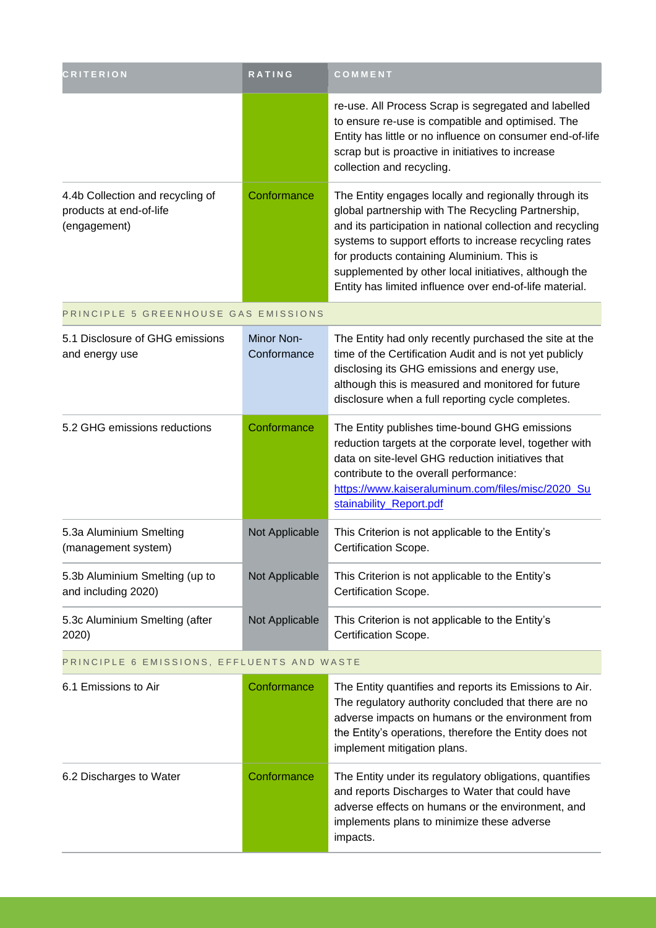| <b>CRITERION</b>                                                            | <b>RATING</b>             | COMMENT                                                                                                                                                                                                                                                                                                                                                                                               |
|-----------------------------------------------------------------------------|---------------------------|-------------------------------------------------------------------------------------------------------------------------------------------------------------------------------------------------------------------------------------------------------------------------------------------------------------------------------------------------------------------------------------------------------|
|                                                                             |                           | re-use. All Process Scrap is segregated and labelled<br>to ensure re-use is compatible and optimised. The<br>Entity has little or no influence on consumer end-of-life<br>scrap but is proactive in initiatives to increase<br>collection and recycling.                                                                                                                                              |
| 4.4b Collection and recycling of<br>products at end-of-life<br>(engagement) | Conformance               | The Entity engages locally and regionally through its<br>global partnership with The Recycling Partnership,<br>and its participation in national collection and recycling<br>systems to support efforts to increase recycling rates<br>for products containing Aluminium. This is<br>supplemented by other local initiatives, although the<br>Entity has limited influence over end-of-life material. |
| PRINCIPLE 5 GREENHOUSE GAS EMISSIONS                                        |                           |                                                                                                                                                                                                                                                                                                                                                                                                       |
| 5.1 Disclosure of GHG emissions<br>and energy use                           | Minor Non-<br>Conformance | The Entity had only recently purchased the site at the<br>time of the Certification Audit and is not yet publicly<br>disclosing its GHG emissions and energy use,<br>although this is measured and monitored for future<br>disclosure when a full reporting cycle completes.                                                                                                                          |
| 5.2 GHG emissions reductions                                                | Conformance               | The Entity publishes time-bound GHG emissions<br>reduction targets at the corporate level, together with<br>data on site-level GHG reduction initiatives that<br>contribute to the overall performance:<br>https://www.kaiseraluminum.com/files/misc/2020_Su<br>stainability_Report.pdf                                                                                                               |
| 5.3a Aluminium Smelting<br>(management system)                              | Not Applicable            | This Criterion is not applicable to the Entity's<br>Certification Scope.                                                                                                                                                                                                                                                                                                                              |
| 5.3b Aluminium Smelting (up to<br>and including 2020)                       | Not Applicable            | This Criterion is not applicable to the Entity's<br>Certification Scope.                                                                                                                                                                                                                                                                                                                              |
| 5.3c Aluminium Smelting (after<br>2020)                                     | Not Applicable            | This Criterion is not applicable to the Entity's<br>Certification Scope.                                                                                                                                                                                                                                                                                                                              |
| PRINCIPLE 6 EMISSIONS, EFFLUENTS AND WASTE                                  |                           |                                                                                                                                                                                                                                                                                                                                                                                                       |
| 6.1 Emissions to Air                                                        | Conformance               | The Entity quantifies and reports its Emissions to Air.<br>The regulatory authority concluded that there are no<br>adverse impacts on humans or the environment from<br>the Entity's operations, therefore the Entity does not<br>implement mitigation plans.                                                                                                                                         |
| 6.2 Discharges to Water                                                     | Conformance               | The Entity under its regulatory obligations, quantifies<br>and reports Discharges to Water that could have<br>adverse effects on humans or the environment, and<br>implements plans to minimize these adverse<br>impacts.                                                                                                                                                                             |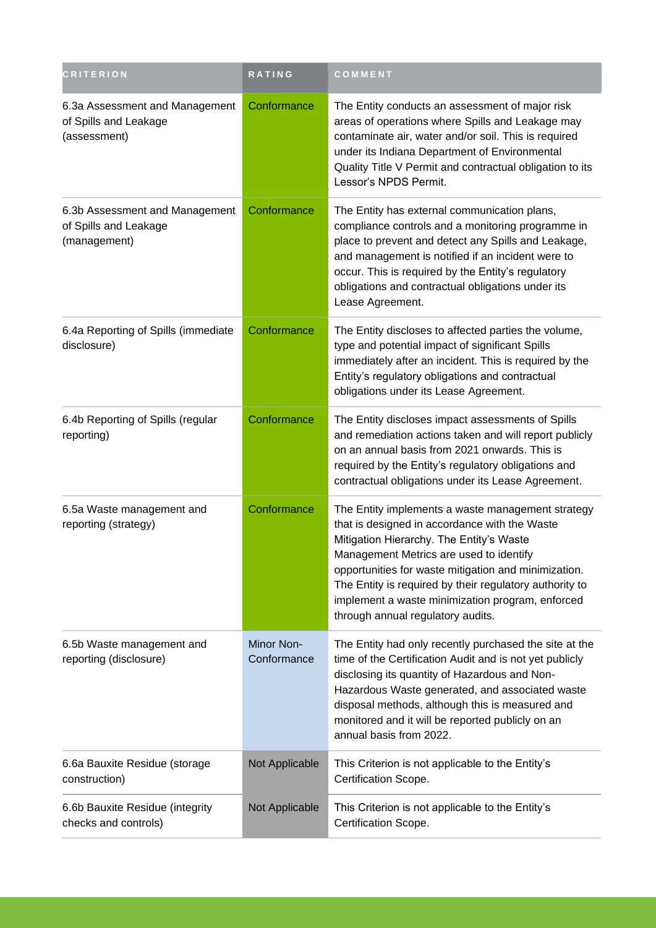| <b>CRITERION</b>                                                        | RATING                           | COMMENT                                                                                                                                                                                                                                                                                                                                                                                               |
|-------------------------------------------------------------------------|----------------------------------|-------------------------------------------------------------------------------------------------------------------------------------------------------------------------------------------------------------------------------------------------------------------------------------------------------------------------------------------------------------------------------------------------------|
| 6.3a Assessment and Management<br>of Spills and Leakage<br>(assessment) | Conformance                      | The Entity conducts an assessment of major risk<br>areas of operations where Spills and Leakage may<br>contaminate air, water and/or soil. This is required<br>under its Indiana Department of Environmental<br>Quality Title V Permit and contractual obligation to its<br>Lessor's NPDS Permit.                                                                                                     |
| 6.3b Assessment and Management<br>of Spills and Leakage<br>(management) | Conformance                      | The Entity has external communication plans,<br>compliance controls and a monitoring programme in<br>place to prevent and detect any Spills and Leakage,<br>and management is notified if an incident were to<br>occur. This is required by the Entity's regulatory<br>obligations and contractual obligations under its<br>Lease Agreement.                                                          |
| 6.4a Reporting of Spills (immediate<br>disclosure)                      | Conformance                      | The Entity discloses to affected parties the volume,<br>type and potential impact of significant Spills<br>immediately after an incident. This is required by the<br>Entity's regulatory obligations and contractual<br>obligations under its Lease Agreement.                                                                                                                                        |
| 6.4b Reporting of Spills (regular<br>reporting)                         | Conformance                      | The Entity discloses impact assessments of Spills<br>and remediation actions taken and will report publicly<br>on an annual basis from 2021 onwards. This is<br>required by the Entity's regulatory obligations and<br>contractual obligations under its Lease Agreement.                                                                                                                             |
| 6.5a Waste management and<br>reporting (strategy)                       | Conformance                      | The Entity implements a waste management strategy<br>that is designed in accordance with the Waste<br>Mitigation Hierarchy. The Entity's Waste<br>Management Metrics are used to identify<br>opportunities for waste mitigation and minimization.<br>The Entity is required by their regulatory authority to<br>implement a waste minimization program, enforced<br>through annual regulatory audits. |
| 6.5b Waste management and<br>reporting (disclosure)                     | <b>Minor Non-</b><br>Conformance | The Entity had only recently purchased the site at the<br>time of the Certification Audit and is not yet publicly<br>disclosing its quantity of Hazardous and Non-<br>Hazardous Waste generated, and associated waste<br>disposal methods, although this is measured and<br>monitored and it will be reported publicly on an<br>annual basis from 2022.                                               |
| 6.6a Bauxite Residue (storage<br>construction)                          | Not Applicable                   | This Criterion is not applicable to the Entity's<br>Certification Scope.                                                                                                                                                                                                                                                                                                                              |
| 6.6b Bauxite Residue (integrity<br>checks and controls)                 | Not Applicable                   | This Criterion is not applicable to the Entity's<br>Certification Scope.                                                                                                                                                                                                                                                                                                                              |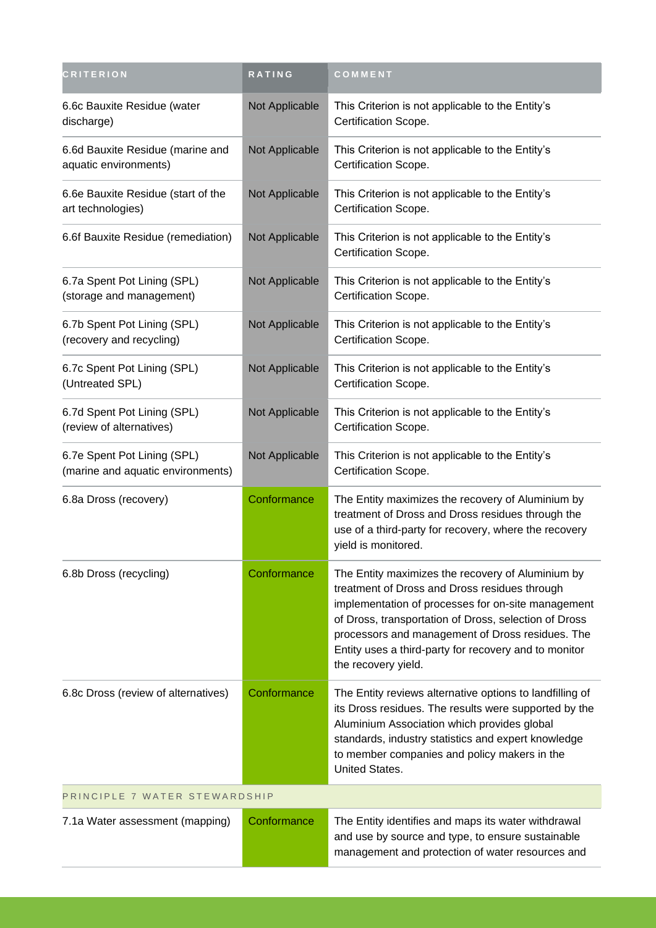| <b>CRITERION</b>                                                 | <b>RATING</b>  | COMMENT                                                                                                                                                                                                                                                                                                                                               |  |
|------------------------------------------------------------------|----------------|-------------------------------------------------------------------------------------------------------------------------------------------------------------------------------------------------------------------------------------------------------------------------------------------------------------------------------------------------------|--|
| 6.6c Bauxite Residue (water<br>discharge)                        | Not Applicable | This Criterion is not applicable to the Entity's<br>Certification Scope.                                                                                                                                                                                                                                                                              |  |
| 6.6d Bauxite Residue (marine and<br>aquatic environments)        | Not Applicable | This Criterion is not applicable to the Entity's<br>Certification Scope.                                                                                                                                                                                                                                                                              |  |
| 6.6e Bauxite Residue (start of the<br>art technologies)          | Not Applicable | This Criterion is not applicable to the Entity's<br>Certification Scope.                                                                                                                                                                                                                                                                              |  |
| 6.6f Bauxite Residue (remediation)                               | Not Applicable | This Criterion is not applicable to the Entity's<br>Certification Scope.                                                                                                                                                                                                                                                                              |  |
| 6.7a Spent Pot Lining (SPL)<br>(storage and management)          | Not Applicable | This Criterion is not applicable to the Entity's<br>Certification Scope.                                                                                                                                                                                                                                                                              |  |
| 6.7b Spent Pot Lining (SPL)<br>(recovery and recycling)          | Not Applicable | This Criterion is not applicable to the Entity's<br>Certification Scope.                                                                                                                                                                                                                                                                              |  |
| 6.7c Spent Pot Lining (SPL)<br>(Untreated SPL)                   | Not Applicable | This Criterion is not applicable to the Entity's<br>Certification Scope.                                                                                                                                                                                                                                                                              |  |
| 6.7d Spent Pot Lining (SPL)<br>(review of alternatives)          | Not Applicable | This Criterion is not applicable to the Entity's<br>Certification Scope.                                                                                                                                                                                                                                                                              |  |
| 6.7e Spent Pot Lining (SPL)<br>(marine and aquatic environments) | Not Applicable | This Criterion is not applicable to the Entity's<br>Certification Scope.                                                                                                                                                                                                                                                                              |  |
| 6.8a Dross (recovery)                                            | Conformance    | The Entity maximizes the recovery of Aluminium by<br>treatment of Dross and Dross residues through the<br>use of a third-party for recovery, where the recovery<br>yield is monitored.                                                                                                                                                                |  |
| 6.8b Dross (recycling)                                           | Conformance    | The Entity maximizes the recovery of Aluminium by<br>treatment of Dross and Dross residues through<br>implementation of processes for on-site management<br>of Dross, transportation of Dross, selection of Dross<br>processors and management of Dross residues. The<br>Entity uses a third-party for recovery and to monitor<br>the recovery yield. |  |
| 6.8c Dross (review of alternatives)                              | Conformance    | The Entity reviews alternative options to landfilling of<br>its Dross residues. The results were supported by the<br>Aluminium Association which provides global<br>standards, industry statistics and expert knowledge<br>to member companies and policy makers in the<br>United States.                                                             |  |
| PRINCIPLE 7 WATER STEWARDSHIP                                    |                |                                                                                                                                                                                                                                                                                                                                                       |  |
| 7.1a Water assessment (mapping)                                  | Conformance    | The Entity identifies and maps its water withdrawal<br>and use by source and type, to ensure sustainable<br>management and protection of water resources and                                                                                                                                                                                          |  |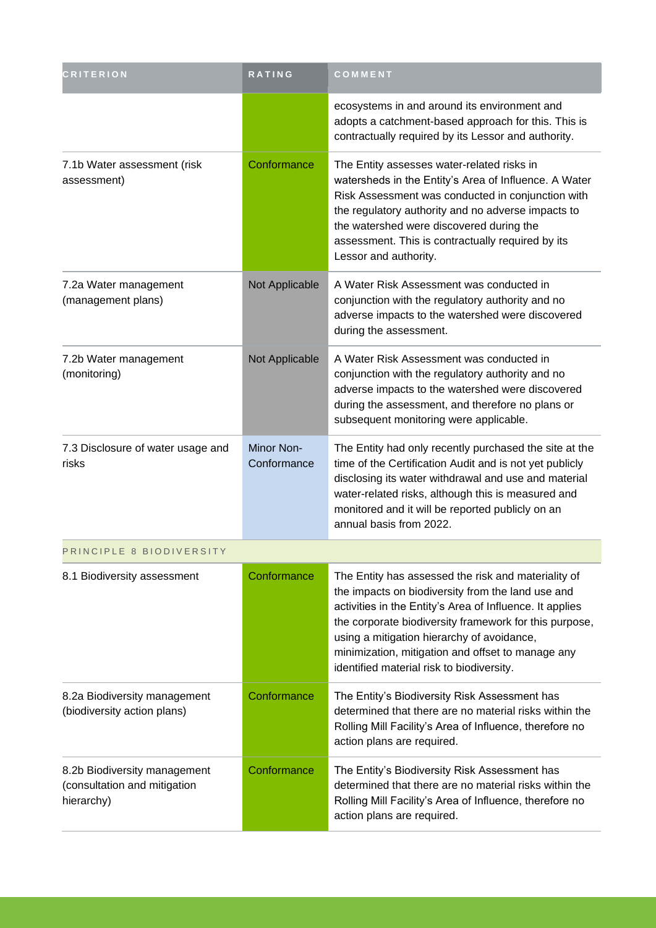| <b>CRITERION</b>                                                           | RATING                    | COMMENT                                                                                                                                                                                                                                                                                                                                                                        |
|----------------------------------------------------------------------------|---------------------------|--------------------------------------------------------------------------------------------------------------------------------------------------------------------------------------------------------------------------------------------------------------------------------------------------------------------------------------------------------------------------------|
|                                                                            |                           | ecosystems in and around its environment and<br>adopts a catchment-based approach for this. This is<br>contractually required by its Lessor and authority.                                                                                                                                                                                                                     |
| 7.1b Water assessment (risk<br>assessment)                                 | Conformance               | The Entity assesses water-related risks in<br>watersheds in the Entity's Area of Influence. A Water<br>Risk Assessment was conducted in conjunction with<br>the regulatory authority and no adverse impacts to<br>the watershed were discovered during the<br>assessment. This is contractually required by its<br>Lessor and authority.                                       |
| 7.2a Water management<br>(management plans)                                | Not Applicable            | A Water Risk Assessment was conducted in<br>conjunction with the regulatory authority and no<br>adverse impacts to the watershed were discovered<br>during the assessment.                                                                                                                                                                                                     |
| 7.2b Water management<br>(monitoring)                                      | Not Applicable            | A Water Risk Assessment was conducted in<br>conjunction with the regulatory authority and no<br>adverse impacts to the watershed were discovered<br>during the assessment, and therefore no plans or<br>subsequent monitoring were applicable.                                                                                                                                 |
| 7.3 Disclosure of water usage and<br>risks                                 | Minor Non-<br>Conformance | The Entity had only recently purchased the site at the<br>time of the Certification Audit and is not yet publicly<br>disclosing its water withdrawal and use and material<br>water-related risks, although this is measured and<br>monitored and it will be reported publicly on an<br>annual basis from 2022.                                                                 |
| PRINCIPLE 8 BIODIVERSITY                                                   |                           |                                                                                                                                                                                                                                                                                                                                                                                |
| 8.1 Biodiversity assessment                                                | Conformance               | The Entity has assessed the risk and materiality of<br>the impacts on biodiversity from the land use and<br>activities in the Entity's Area of Influence. It applies<br>the corporate biodiversity framework for this purpose,<br>using a mitigation hierarchy of avoidance,<br>minimization, mitigation and offset to manage any<br>identified material risk to biodiversity. |
| 8.2a Biodiversity management<br>(biodiversity action plans)                | Conformance               | The Entity's Biodiversity Risk Assessment has<br>determined that there are no material risks within the<br>Rolling Mill Facility's Area of Influence, therefore no<br>action plans are required.                                                                                                                                                                               |
| 8.2b Biodiversity management<br>(consultation and mitigation<br>hierarchy) | Conformance               | The Entity's Biodiversity Risk Assessment has<br>determined that there are no material risks within the<br>Rolling Mill Facility's Area of Influence, therefore no<br>action plans are required.                                                                                                                                                                               |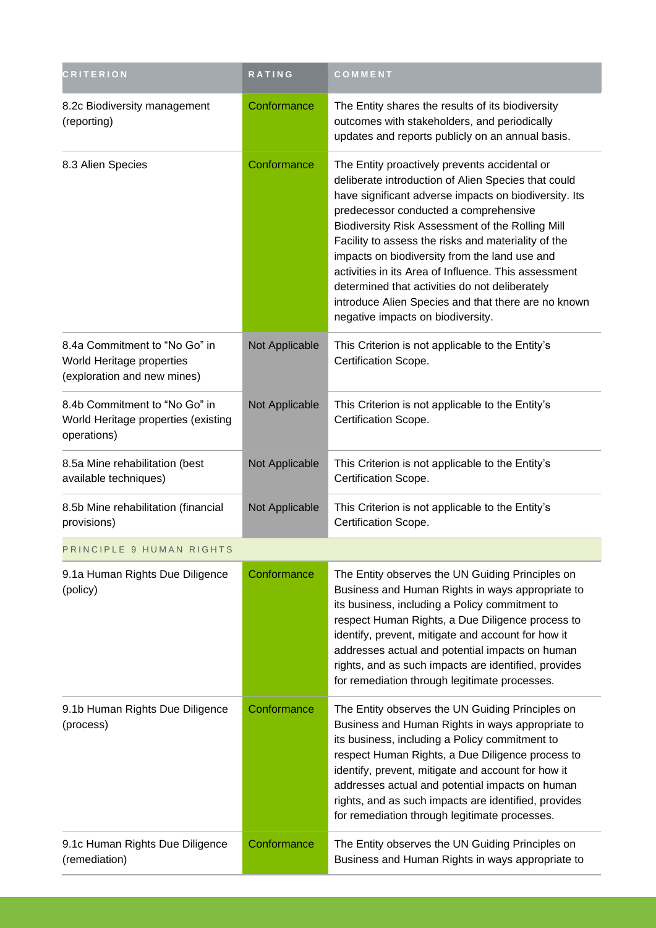| <b>CRITERION</b>                                                                          | <b>RATING</b>  | COMMENT                                                                                                                                                                                                                                                                                                                                                                                                                                                                                                                                                                  |
|-------------------------------------------------------------------------------------------|----------------|--------------------------------------------------------------------------------------------------------------------------------------------------------------------------------------------------------------------------------------------------------------------------------------------------------------------------------------------------------------------------------------------------------------------------------------------------------------------------------------------------------------------------------------------------------------------------|
| 8.2c Biodiversity management<br>(reporting)                                               | Conformance    | The Entity shares the results of its biodiversity<br>outcomes with stakeholders, and periodically<br>updates and reports publicly on an annual basis.                                                                                                                                                                                                                                                                                                                                                                                                                    |
| 8.3 Alien Species                                                                         | Conformance    | The Entity proactively prevents accidental or<br>deliberate introduction of Alien Species that could<br>have significant adverse impacts on biodiversity. Its<br>predecessor conducted a comprehensive<br>Biodiversity Risk Assessment of the Rolling Mill<br>Facility to assess the risks and materiality of the<br>impacts on biodiversity from the land use and<br>activities in its Area of Influence. This assessment<br>determined that activities do not deliberately<br>introduce Alien Species and that there are no known<br>negative impacts on biodiversity. |
| 8.4a Commitment to "No Go" in<br>World Heritage properties<br>(exploration and new mines) | Not Applicable | This Criterion is not applicable to the Entity's<br>Certification Scope.                                                                                                                                                                                                                                                                                                                                                                                                                                                                                                 |
| 8.4b Commitment to "No Go" in<br>World Heritage properties (existing<br>operations)       | Not Applicable | This Criterion is not applicable to the Entity's<br>Certification Scope.                                                                                                                                                                                                                                                                                                                                                                                                                                                                                                 |
| 8.5a Mine rehabilitation (best<br>available techniques)                                   | Not Applicable | This Criterion is not applicable to the Entity's<br>Certification Scope.                                                                                                                                                                                                                                                                                                                                                                                                                                                                                                 |
| 8.5b Mine rehabilitation (financial<br>provisions)                                        | Not Applicable | This Criterion is not applicable to the Entity's<br>Certification Scope.                                                                                                                                                                                                                                                                                                                                                                                                                                                                                                 |
| PRINCIPLE 9 HUMAN RIGHTS                                                                  |                |                                                                                                                                                                                                                                                                                                                                                                                                                                                                                                                                                                          |
| 9.1a Human Rights Due Diligence<br>(policy)                                               | Conformance    | The Entity observes the UN Guiding Principles on<br>Business and Human Rights in ways appropriate to<br>its business, including a Policy commitment to<br>respect Human Rights, a Due Diligence process to<br>identify, prevent, mitigate and account for how it<br>addresses actual and potential impacts on human<br>rights, and as such impacts are identified, provides<br>for remediation through legitimate processes.                                                                                                                                             |
| 9.1b Human Rights Due Diligence<br>(process)                                              | Conformance    | The Entity observes the UN Guiding Principles on<br>Business and Human Rights in ways appropriate to<br>its business, including a Policy commitment to<br>respect Human Rights, a Due Diligence process to<br>identify, prevent, mitigate and account for how it<br>addresses actual and potential impacts on human<br>rights, and as such impacts are identified, provides<br>for remediation through legitimate processes.                                                                                                                                             |
| 9.1c Human Rights Due Diligence<br>(remediation)                                          | Conformance    | The Entity observes the UN Guiding Principles on<br>Business and Human Rights in ways appropriate to                                                                                                                                                                                                                                                                                                                                                                                                                                                                     |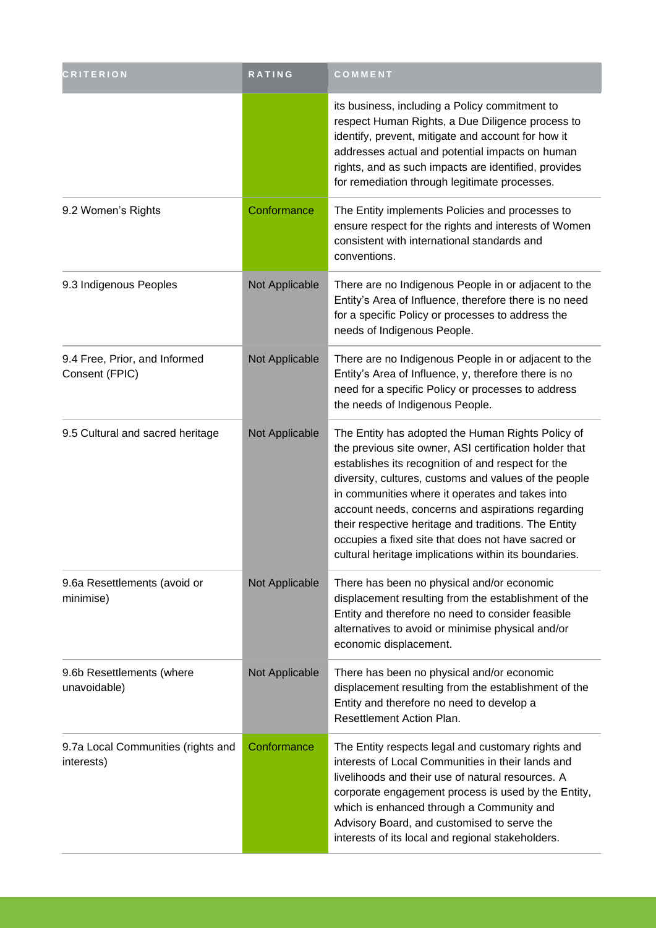| <b>CRITERION</b>                                 | RATING         | COMMENT                                                                                                                                                                                                                                                                                                                                                                                                                                                                                                   |
|--------------------------------------------------|----------------|-----------------------------------------------------------------------------------------------------------------------------------------------------------------------------------------------------------------------------------------------------------------------------------------------------------------------------------------------------------------------------------------------------------------------------------------------------------------------------------------------------------|
|                                                  |                | its business, including a Policy commitment to<br>respect Human Rights, a Due Diligence process to<br>identify, prevent, mitigate and account for how it<br>addresses actual and potential impacts on human<br>rights, and as such impacts are identified, provides<br>for remediation through legitimate processes.                                                                                                                                                                                      |
| 9.2 Women's Rights                               | Conformance    | The Entity implements Policies and processes to<br>ensure respect for the rights and interests of Women<br>consistent with international standards and<br>conventions.                                                                                                                                                                                                                                                                                                                                    |
| 9.3 Indigenous Peoples                           | Not Applicable | There are no Indigenous People in or adjacent to the<br>Entity's Area of Influence, therefore there is no need<br>for a specific Policy or processes to address the<br>needs of Indigenous People.                                                                                                                                                                                                                                                                                                        |
| 9.4 Free, Prior, and Informed<br>Consent (FPIC)  | Not Applicable | There are no Indigenous People in or adjacent to the<br>Entity's Area of Influence, y, therefore there is no<br>need for a specific Policy or processes to address<br>the needs of Indigenous People.                                                                                                                                                                                                                                                                                                     |
| 9.5 Cultural and sacred heritage                 | Not Applicable | The Entity has adopted the Human Rights Policy of<br>the previous site owner, ASI certification holder that<br>establishes its recognition of and respect for the<br>diversity, cultures, customs and values of the people<br>in communities where it operates and takes into<br>account needs, concerns and aspirations regarding<br>their respective heritage and traditions. The Entity<br>occupies a fixed site that does not have sacred or<br>cultural heritage implications within its boundaries. |
| 9.6a Resettlements (avoid or<br>minimise)        | Not Applicable | There has been no physical and/or economic<br>displacement resulting from the establishment of the<br>Entity and therefore no need to consider feasible<br>alternatives to avoid or minimise physical and/or<br>economic displacement.                                                                                                                                                                                                                                                                    |
| 9.6b Resettlements (where<br>unavoidable)        | Not Applicable | There has been no physical and/or economic<br>displacement resulting from the establishment of the<br>Entity and therefore no need to develop a<br>Resettlement Action Plan.                                                                                                                                                                                                                                                                                                                              |
| 9.7a Local Communities (rights and<br>interests) | Conformance    | The Entity respects legal and customary rights and<br>interests of Local Communities in their lands and<br>livelihoods and their use of natural resources. A<br>corporate engagement process is used by the Entity,<br>which is enhanced through a Community and<br>Advisory Board, and customised to serve the<br>interests of its local and regional stakeholders.                                                                                                                                      |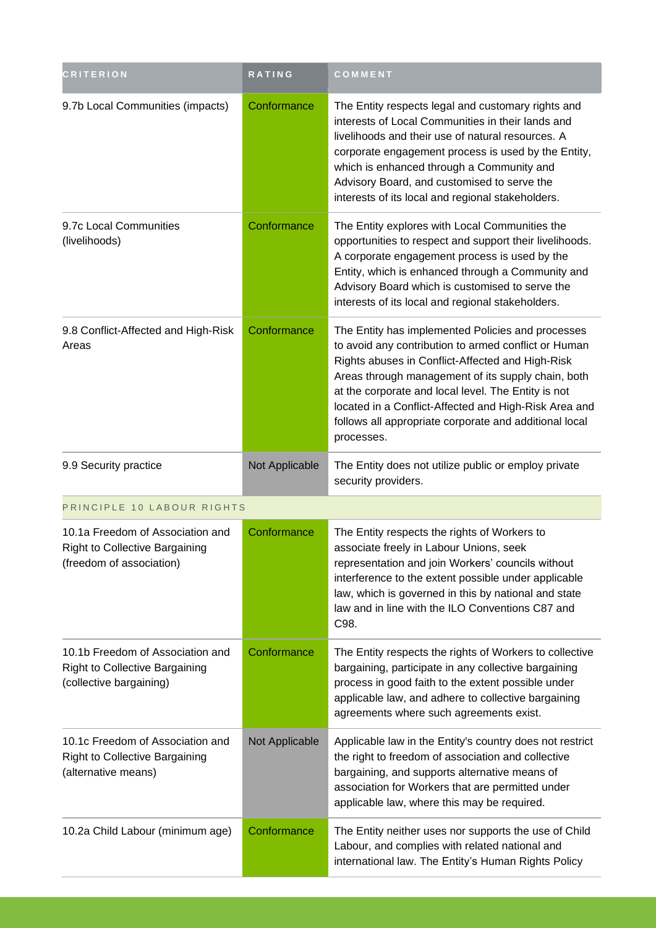| <b>CRITERION</b>                                                                                      | RATING         | COMMENT                                                                                                                                                                                                                                                                                                                                                                                                     |  |
|-------------------------------------------------------------------------------------------------------|----------------|-------------------------------------------------------------------------------------------------------------------------------------------------------------------------------------------------------------------------------------------------------------------------------------------------------------------------------------------------------------------------------------------------------------|--|
| 9.7b Local Communities (impacts)                                                                      | Conformance    | The Entity respects legal and customary rights and<br>interests of Local Communities in their lands and<br>livelihoods and their use of natural resources. A<br>corporate engagement process is used by the Entity,<br>which is enhanced through a Community and<br>Advisory Board, and customised to serve the<br>interests of its local and regional stakeholders.                                        |  |
| 9.7c Local Communities<br>(livelihoods)                                                               | Conformance    | The Entity explores with Local Communities the<br>opportunities to respect and support their livelihoods.<br>A corporate engagement process is used by the<br>Entity, which is enhanced through a Community and<br>Advisory Board which is customised to serve the<br>interests of its local and regional stakeholders.                                                                                     |  |
| 9.8 Conflict-Affected and High-Risk<br>Areas                                                          | Conformance    | The Entity has implemented Policies and processes<br>to avoid any contribution to armed conflict or Human<br>Rights abuses in Conflict-Affected and High-Risk<br>Areas through management of its supply chain, both<br>at the corporate and local level. The Entity is not<br>located in a Conflict-Affected and High-Risk Area and<br>follows all appropriate corporate and additional local<br>processes. |  |
| 9.9 Security practice                                                                                 | Not Applicable | The Entity does not utilize public or employ private<br>security providers.                                                                                                                                                                                                                                                                                                                                 |  |
| PRINCIPLE 10 LABOUR RIGHTS                                                                            |                |                                                                                                                                                                                                                                                                                                                                                                                                             |  |
| 10.1a Freedom of Association and<br><b>Right to Collective Bargaining</b><br>(freedom of association) | Conformance    | The Entity respects the rights of Workers to<br>associate freely in Labour Unions, seek<br>representation and join Workers' councils without<br>interference to the extent possible under applicable<br>law, which is governed in this by national and state<br>law and in line with the ILO Conventions C87 and<br>C98.                                                                                    |  |
| 10.1b Freedom of Association and<br><b>Right to Collective Bargaining</b><br>(collective bargaining)  | Conformance    | The Entity respects the rights of Workers to collective<br>bargaining, participate in any collective bargaining<br>process in good faith to the extent possible under<br>applicable law, and adhere to collective bargaining<br>agreements where such agreements exist.                                                                                                                                     |  |
| 10.1c Freedom of Association and<br><b>Right to Collective Bargaining</b><br>(alternative means)      | Not Applicable | Applicable law in the Entity's country does not restrict<br>the right to freedom of association and collective<br>bargaining, and supports alternative means of<br>association for Workers that are permitted under<br>applicable law, where this may be required.                                                                                                                                          |  |
| 10.2a Child Labour (minimum age)                                                                      | Conformance    | The Entity neither uses nor supports the use of Child<br>Labour, and complies with related national and<br>international law. The Entity's Human Rights Policy                                                                                                                                                                                                                                              |  |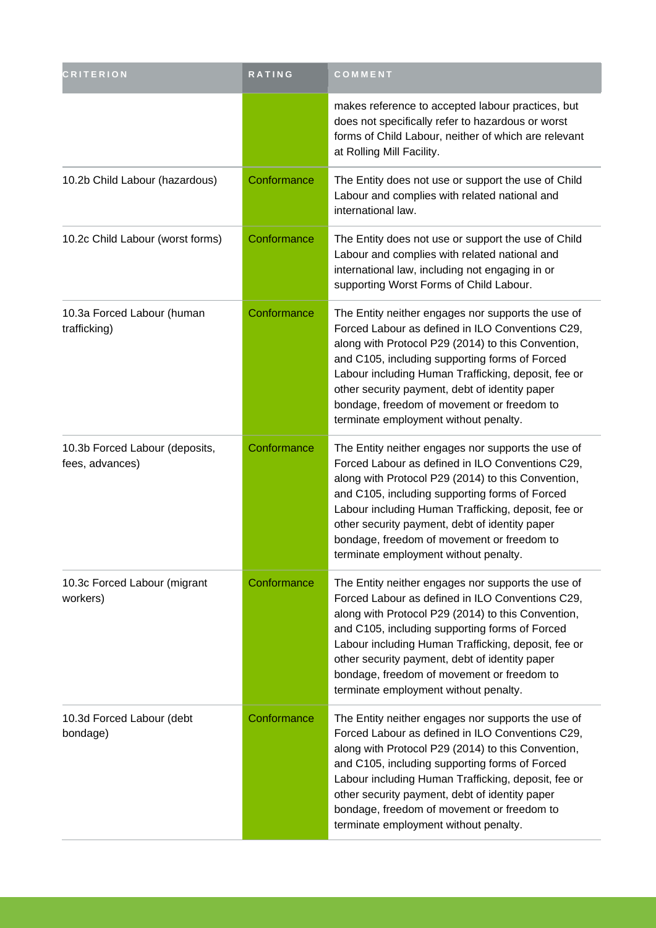| <b>CRITERION</b>                                  | RATING      | COMMENT                                                                                                                                                                                                                                                                                                                                                                                                        |
|---------------------------------------------------|-------------|----------------------------------------------------------------------------------------------------------------------------------------------------------------------------------------------------------------------------------------------------------------------------------------------------------------------------------------------------------------------------------------------------------------|
|                                                   |             | makes reference to accepted labour practices, but<br>does not specifically refer to hazardous or worst<br>forms of Child Labour, neither of which are relevant<br>at Rolling Mill Facility.                                                                                                                                                                                                                    |
| 10.2b Child Labour (hazardous)                    | Conformance | The Entity does not use or support the use of Child<br>Labour and complies with related national and<br>international law.                                                                                                                                                                                                                                                                                     |
| 10.2c Child Labour (worst forms)                  | Conformance | The Entity does not use or support the use of Child<br>Labour and complies with related national and<br>international law, including not engaging in or<br>supporting Worst Forms of Child Labour.                                                                                                                                                                                                             |
| 10.3a Forced Labour (human<br>trafficking)        | Conformance | The Entity neither engages nor supports the use of<br>Forced Labour as defined in ILO Conventions C29,<br>along with Protocol P29 (2014) to this Convention,<br>and C105, including supporting forms of Forced<br>Labour including Human Trafficking, deposit, fee or<br>other security payment, debt of identity paper<br>bondage, freedom of movement or freedom to<br>terminate employment without penalty. |
| 10.3b Forced Labour (deposits,<br>fees, advances) | Conformance | The Entity neither engages nor supports the use of<br>Forced Labour as defined in ILO Conventions C29,<br>along with Protocol P29 (2014) to this Convention,<br>and C105, including supporting forms of Forced<br>Labour including Human Trafficking, deposit, fee or<br>other security payment, debt of identity paper<br>bondage, freedom of movement or freedom to<br>terminate employment without penalty. |
| 10.3c Forced Labour (migrant<br>workers)          | Conformance | The Entity neither engages nor supports the use of<br>Forced Labour as defined in ILO Conventions C29,<br>along with Protocol P29 (2014) to this Convention,<br>and C105, including supporting forms of Forced<br>Labour including Human Trafficking, deposit, fee or<br>other security payment, debt of identity paper<br>bondage, freedom of movement or freedom to<br>terminate employment without penalty. |
| 10.3d Forced Labour (debt<br>bondage)             | Conformance | The Entity neither engages nor supports the use of<br>Forced Labour as defined in ILO Conventions C29,<br>along with Protocol P29 (2014) to this Convention,<br>and C105, including supporting forms of Forced<br>Labour including Human Trafficking, deposit, fee or<br>other security payment, debt of identity paper<br>bondage, freedom of movement or freedom to<br>terminate employment without penalty. |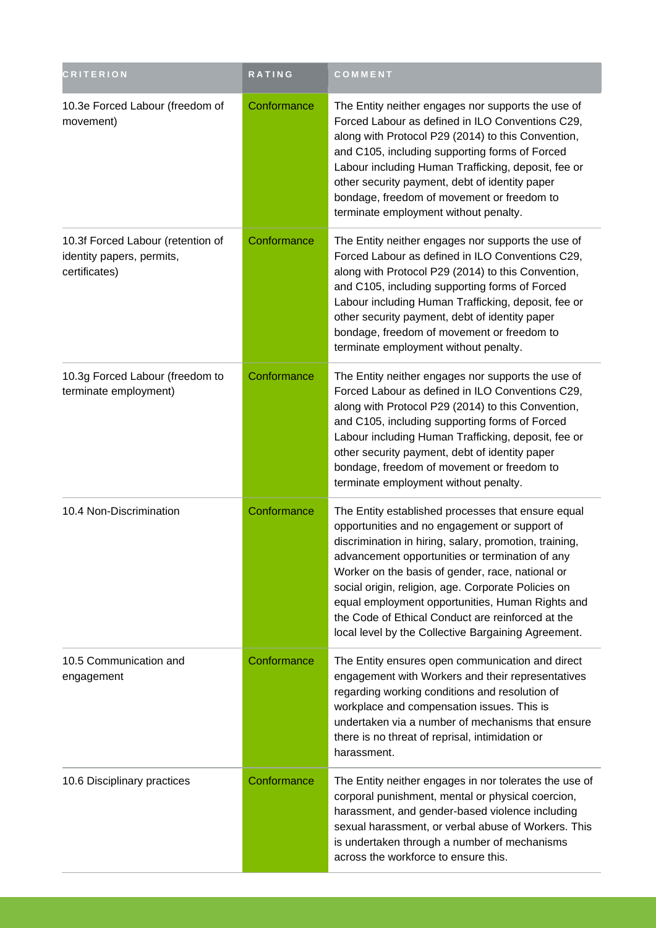| <b>CRITERION</b>                                                                | <b>RATING</b> | COMMENT                                                                                                                                                                                                                                                                                                                                                                                                                                                                                     |
|---------------------------------------------------------------------------------|---------------|---------------------------------------------------------------------------------------------------------------------------------------------------------------------------------------------------------------------------------------------------------------------------------------------------------------------------------------------------------------------------------------------------------------------------------------------------------------------------------------------|
| 10.3e Forced Labour (freedom of<br>movement)                                    | Conformance   | The Entity neither engages nor supports the use of<br>Forced Labour as defined in ILO Conventions C29,<br>along with Protocol P29 (2014) to this Convention,<br>and C105, including supporting forms of Forced<br>Labour including Human Trafficking, deposit, fee or<br>other security payment, debt of identity paper<br>bondage, freedom of movement or freedom to<br>terminate employment without penalty.                                                                              |
| 10.3f Forced Labour (retention of<br>identity papers, permits,<br>certificates) | Conformance   | The Entity neither engages nor supports the use of<br>Forced Labour as defined in ILO Conventions C29,<br>along with Protocol P29 (2014) to this Convention,<br>and C105, including supporting forms of Forced<br>Labour including Human Trafficking, deposit, fee or<br>other security payment, debt of identity paper<br>bondage, freedom of movement or freedom to<br>terminate employment without penalty.                                                                              |
| 10.3g Forced Labour (freedom to<br>terminate employment)                        | Conformance   | The Entity neither engages nor supports the use of<br>Forced Labour as defined in ILO Conventions C29,<br>along with Protocol P29 (2014) to this Convention,<br>and C105, including supporting forms of Forced<br>Labour including Human Trafficking, deposit, fee or<br>other security payment, debt of identity paper<br>bondage, freedom of movement or freedom to<br>terminate employment without penalty.                                                                              |
| 10.4 Non-Discrimination                                                         | Conformance   | The Entity established processes that ensure equal<br>opportunities and no engagement or support of<br>discrimination in hiring, salary, promotion, training,<br>advancement opportunities or termination of any<br>Worker on the basis of gender, race, national or<br>social origin, religion, age. Corporate Policies on<br>equal employment opportunities, Human Rights and<br>the Code of Ethical Conduct are reinforced at the<br>local level by the Collective Bargaining Agreement. |
| 10.5 Communication and<br>engagement                                            | Conformance   | The Entity ensures open communication and direct<br>engagement with Workers and their representatives<br>regarding working conditions and resolution of<br>workplace and compensation issues. This is<br>undertaken via a number of mechanisms that ensure<br>there is no threat of reprisal, intimidation or<br>harassment.                                                                                                                                                                |
| 10.6 Disciplinary practices                                                     | Conformance   | The Entity neither engages in nor tolerates the use of<br>corporal punishment, mental or physical coercion,<br>harassment, and gender-based violence including<br>sexual harassment, or verbal abuse of Workers. This<br>is undertaken through a number of mechanisms<br>across the workforce to ensure this.                                                                                                                                                                               |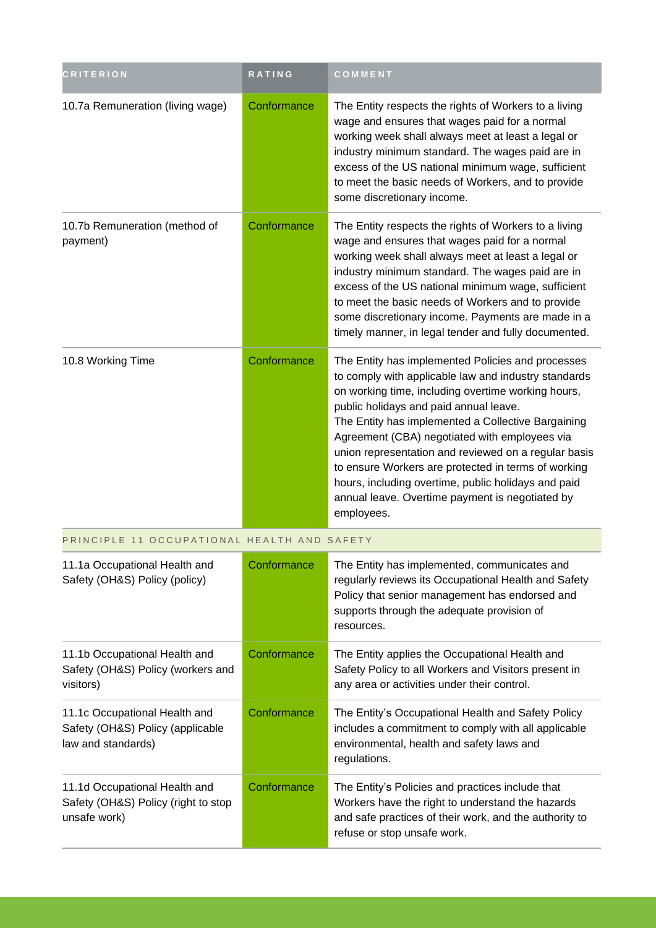| <b>CRITERION</b>                                                                        | <b>RATING</b> | COMMENT                                                                                                                                                                                                                                                                                                                                                                                                                                                                                                                                                 |
|-----------------------------------------------------------------------------------------|---------------|---------------------------------------------------------------------------------------------------------------------------------------------------------------------------------------------------------------------------------------------------------------------------------------------------------------------------------------------------------------------------------------------------------------------------------------------------------------------------------------------------------------------------------------------------------|
| 10.7a Remuneration (living wage)                                                        | Conformance   | The Entity respects the rights of Workers to a living<br>wage and ensures that wages paid for a normal<br>working week shall always meet at least a legal or<br>industry minimum standard. The wages paid are in<br>excess of the US national minimum wage, sufficient<br>to meet the basic needs of Workers, and to provide<br>some discretionary income.                                                                                                                                                                                              |
| 10.7b Remuneration (method of<br>payment)                                               | Conformance   | The Entity respects the rights of Workers to a living<br>wage and ensures that wages paid for a normal<br>working week shall always meet at least a legal or<br>industry minimum standard. The wages paid are in<br>excess of the US national minimum wage, sufficient<br>to meet the basic needs of Workers and to provide<br>some discretionary income. Payments are made in a<br>timely manner, in legal tender and fully documented.                                                                                                                |
| 10.8 Working Time                                                                       | Conformance   | The Entity has implemented Policies and processes<br>to comply with applicable law and industry standards<br>on working time, including overtime working hours,<br>public holidays and paid annual leave.<br>The Entity has implemented a Collective Bargaining<br>Agreement (CBA) negotiated with employees via<br>union representation and reviewed on a regular basis<br>to ensure Workers are protected in terms of working<br>hours, including overtime, public holidays and paid<br>annual leave. Overtime payment is negotiated by<br>employees. |
| PRINCIPLE 11 OCCUPATIONAL HEALTH AND SAFETY                                             |               |                                                                                                                                                                                                                                                                                                                                                                                                                                                                                                                                                         |
| 11.1a Occupational Health and<br>Safety (OH&S) Policy (policy)                          | Conformance   | The Entity has implemented, communicates and<br>regularly reviews its Occupational Health and Safety<br>Policy that senior management has endorsed and<br>supports through the adequate provision of<br>resources.                                                                                                                                                                                                                                                                                                                                      |
| 11.1b Occupational Health and<br>Safety (OH&S) Policy (workers and<br>visitors)         | Conformance   | The Entity applies the Occupational Health and<br>Safety Policy to all Workers and Visitors present in<br>any area or activities under their control.                                                                                                                                                                                                                                                                                                                                                                                                   |
| 11.1c Occupational Health and<br>Safety (OH&S) Policy (applicable<br>law and standards) | Conformance   | The Entity's Occupational Health and Safety Policy<br>includes a commitment to comply with all applicable<br>environmental, health and safety laws and<br>regulations.                                                                                                                                                                                                                                                                                                                                                                                  |
| 11.1d Occupational Health and<br>Safety (OH&S) Policy (right to stop<br>unsafe work)    | Conformance   | The Entity's Policies and practices include that<br>Workers have the right to understand the hazards<br>and safe practices of their work, and the authority to<br>refuse or stop unsafe work.                                                                                                                                                                                                                                                                                                                                                           |